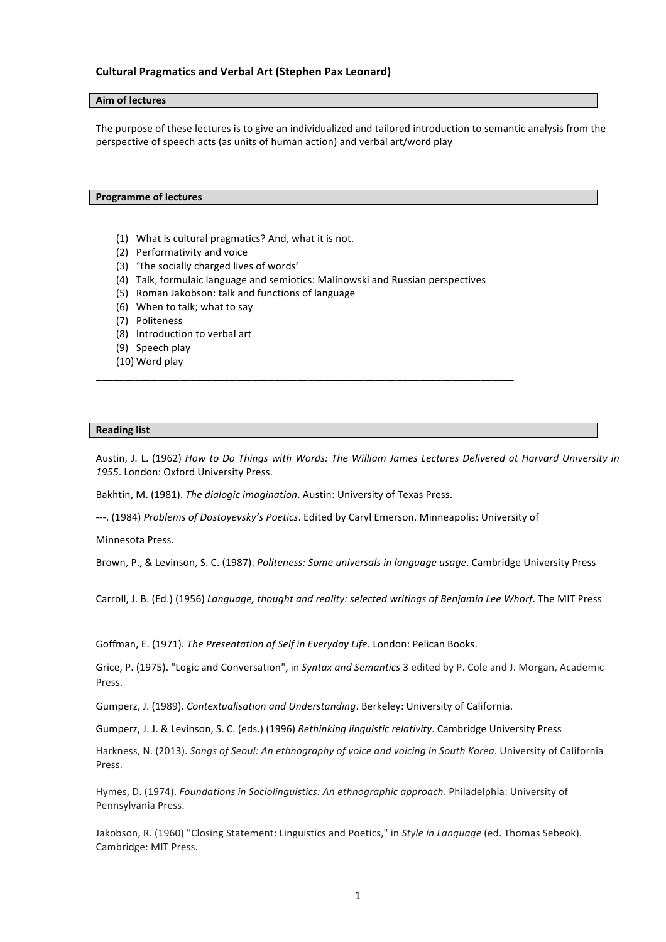## **Cultural Pragmatics and Verbal Art (Stephen Pax Leonard)**

## **Aim of lectures**

The purpose of these lectures is to give an individualized and tailored introduction to semantic analysis from the perspective of speech acts (as units of human action) and verbal art/word play

## **Programme of lectures**

- (1) What is cultural pragmatics? And, what it is not.
- (2) Performativity and voice
- (3) 'The socially charged lives of words'
- (4) Talk, formulaic language and semiotics: Malinowski and Russian perspectives

\_\_\_\_\_\_\_\_\_\_\_\_\_\_\_\_\_\_\_\_\_\_\_\_\_\_\_\_\_\_\_\_\_\_\_\_\_\_\_\_\_\_\_\_\_\_\_\_\_\_\_\_\_\_\_\_\_\_\_\_\_\_\_\_\_\_\_\_\_\_\_\_\_\_\_

- (5) Roman Jakobson: talk and functions of language
- (6) When to talk; what to say
- (7) Politeness
- (8) Introduction to verbal art
- (9) Speech play
- (10) Word play

## **Reading list**

Austin, J. L. (1962) How to Do Things with Words: The William James Lectures Delivered at Harvard University in 1955. London: Oxford University Press.

Bakhtin, M. (1981). The dialogic imagination. Austin: University of Texas Press.

---. (1984) *Problems of Dostoyevsky's Poetics*. Edited by Caryl Emerson. Minneapolis: University of

Minnesota Press.

Brown, P., & Levinson, S. C. (1987). *Politeness: Some universals in language usage*. Cambridge University Press

Carroll, J. B. (Ed.) (1956) *Language, thought and reality: selected writings of Benjamin Lee Whorf*. The MIT Press

Goffman, E. (1971). *The Presentation of Self in Everyday Life*. London: Pelican Books.

Grice, P. (1975). "Logic and Conversation", in *Syntax and Semantics* 3 edited by P. Cole and J. Morgan, Academic Press. 

Gumperz, J. (1989). *Contextualisation and Understanding*. Berkeley: University of California.

Gumperz, J. J. & Levinson, S. C. (eds.) (1996) *Rethinking linguistic relativity*. Cambridge University Press

Harkness, N. (2013). Songs of Seoul: An ethnography of voice and voicing in South Korea. University of California Press.

Hymes, D. (1974). *Foundations in Sociolinguistics: An ethnographic approach*. Philadelphia: University of Pennsylvania Press.

Jakobson, R. (1960) "Closing Statement: Linguistics and Poetics," in *Style in Language* (ed. Thomas Sebeok). Cambridge: MIT Press.